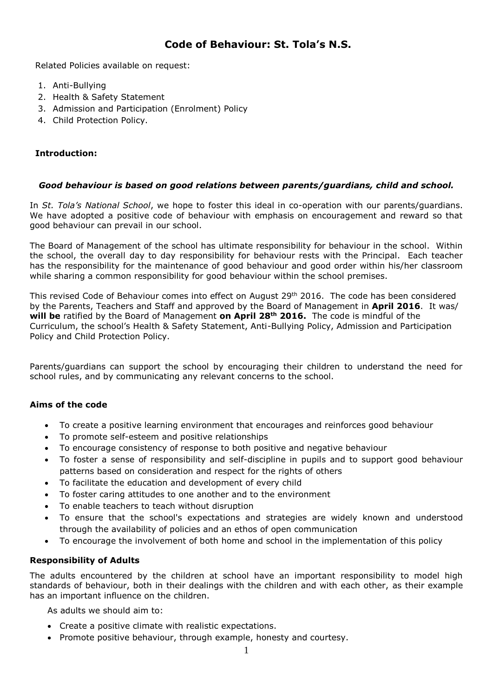# **Code of Behaviour: St. Tola's N.S.**

Related Policies available on request:

- 1. Anti-Bullying
- 2. Health & Safety Statement
- 3. Admission and Participation (Enrolment) Policy
- 4. Child Protection Policy.

## **Introduction:**

#### *Good behaviour is based on good relations between parents/guardians, child and school.*

In *St. Tola's National School*, we hope to foster this ideal in co-operation with our parents/guardians. We have adopted a positive code of behaviour with emphasis on encouragement and reward so that good behaviour can prevail in our school.

The Board of Management of the school has ultimate responsibility for behaviour in the school. Within the school, the overall day to day responsibility for behaviour rests with the Principal. Each teacher has the responsibility for the maintenance of good behaviour and good order within his/her classroom while sharing a common responsibility for good behaviour within the school premises.

This revised Code of Behaviour comes into effect on August 29<sup>th</sup> 2016. The code has been considered by the Parents, Teachers and Staff and approved by the Board of Management in **April 2016**. It was/ **will be** ratified by the Board of Management **on April 28th 2016.** The code is mindful of the Curriculum, the school's Health & Safety Statement, Anti-Bullying Policy, Admission and Participation Policy and Child Protection Policy.

Parents/guardians can support the school by encouraging their children to understand the need for school rules, and by communicating any relevant concerns to the school.

## **Aims of the code**

- To create a positive learning environment that encourages and reinforces good behaviour
- To promote self-esteem and positive relationships
- To encourage consistency of response to both positive and negative behaviour
- To foster a sense of responsibility and self-discipline in pupils and to support good behaviour patterns based on consideration and respect for the rights of others
- To facilitate the education and development of every child
- To foster caring attitudes to one another and to the environment
- To enable teachers to teach without disruption
- To ensure that the school's expectations and strategies are widely known and understood through the availability of policies and an ethos of open communication
- To encourage the involvement of both home and school in the implementation of this policy

## **Responsibility of Adults**

The adults encountered by the children at school have an important responsibility to model high standards of behaviour, both in their dealings with the children and with each other, as their example has an important influence on the children.

As adults we should aim to:

- Create a positive climate with realistic expectations.
- Promote positive behaviour, through example, honesty and courtesy.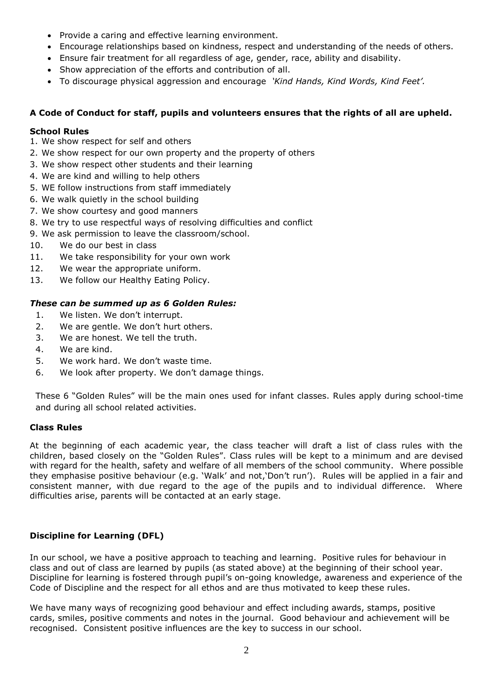- Provide a caring and effective learning environment.
- Encourage relationships based on kindness, respect and understanding of the needs of others.
- Ensure fair treatment for all regardless of age, gender, race, ability and disability.
- Show appreciation of the efforts and contribution of all.
- To discourage physical aggression and encourage *'Kind Hands, Kind Words, Kind Feet'.*

## **A Code of Conduct for staff, pupils and volunteers ensures that the rights of all are upheld.**

## **School Rules**

- 1. We show respect for self and others
- 2. We show respect for our own property and the property of others
- 3. We show respect other students and their learning
- 4. We are kind and willing to help others
- 5. WE follow instructions from staff immediately
- 6. We walk quietly in the school building
- 7. We show courtesy and good manners
- 8. We try to use respectful ways of resolving difficulties and conflict
- 9. We ask permission to leave the classroom/school.
- 10. We do our best in class
- 11. We take responsibility for your own work
- 12. We wear the appropriate uniform.
- 13. We follow our Healthy Eating Policy.

## *These can be summed up as 6 Golden Rules:*

- 1. We listen. We don't interrupt.
- 2. We are gentle. We don't hurt others.
- 3. We are honest. We tell the truth.
- 4. We are kind.
- 5. We work hard. We don't waste time.
- 6. We look after property. We don't damage things.

These 6 "Golden Rules" will be the main ones used for infant classes. Rules apply during school-time and during all school related activities.

## **Class Rules**

At the beginning of each academic year, the class teacher will draft a list of class rules with the children, based closely on the "Golden Rules". Class rules will be kept to a minimum and are devised with regard for the health, safety and welfare of all members of the school community. Where possible they emphasise positive behaviour (e.g. 'Walk' and not,'Don't run'). Rules will be applied in a fair and consistent manner, with due regard to the age of the pupils and to individual difference. Where difficulties arise, parents will be contacted at an early stage.

## **Discipline for Learning (DFL)**

In our school, we have a positive approach to teaching and learning. Positive rules for behaviour in class and out of class are learned by pupils (as stated above) at the beginning of their school year. Discipline for learning is fostered through pupil's on-going knowledge, awareness and experience of the Code of Discipline and the respect for all ethos and are thus motivated to keep these rules.

We have many ways of recognizing good behaviour and effect including awards, stamps, positive cards, smiles, positive comments and notes in the journal. Good behaviour and achievement will be recognised. Consistent positive influences are the key to success in our school.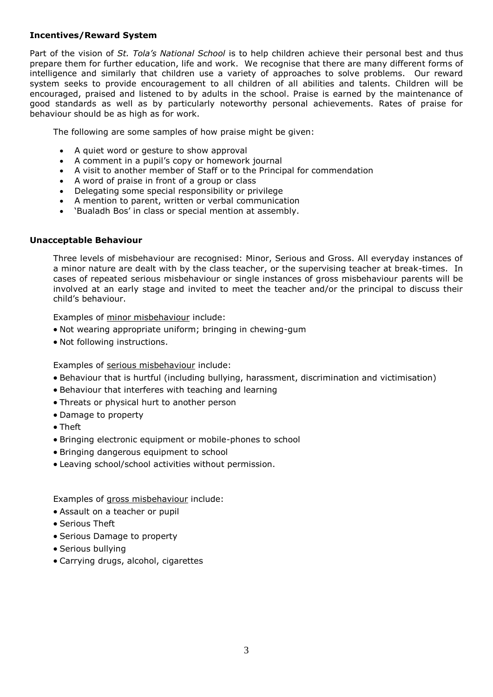## **Incentives/Reward System**

Part of the vision of *St. Tola's National School* is to help children achieve their personal best and thus prepare them for further education, life and work. We recognise that there are many different forms of intelligence and similarly that children use a variety of approaches to solve problems. Our reward system seeks to provide encouragement to all children of all abilities and talents. Children will be encouraged, praised and listened to by adults in the school. Praise is earned by the maintenance of good standards as well as by particularly noteworthy personal achievements. Rates of praise for behaviour should be as high as for work.

The following are some samples of how praise might be given:

- A quiet word or gesture to show approval
- A comment in a pupil's copy or homework journal
- A visit to another member of Staff or to the Principal for commendation
- A word of praise in front of a group or class
- Delegating some special responsibility or privilege
- A mention to parent, written or verbal communication
- 'Bualadh Bos' in class or special mention at assembly.

#### **Unacceptable Behaviour**

Three levels of misbehaviour are recognised: Minor, Serious and Gross. All everyday instances of a minor nature are dealt with by the class teacher, or the supervising teacher at break-times. In cases of repeated serious misbehaviour or single instances of gross misbehaviour parents will be involved at an early stage and invited to meet the teacher and/or the principal to discuss their child's behaviour.

Examples of minor misbehaviour include:

- Not wearing appropriate uniform; bringing in chewing-gum
- Not following instructions.

Examples of serious misbehaviour include:

- Behaviour that is hurtful (including bullying, harassment, discrimination and victimisation)
- Behaviour that interferes with teaching and learning
- Threats or physical hurt to another person
- Damage to property
- Theft
- Bringing electronic equipment or mobile-phones to school
- Bringing dangerous equipment to school
- Leaving school/school activities without permission.

Examples of gross misbehaviour include:

- Assault on a teacher or pupil
- Serious Theft
- Serious Damage to property
- Serious bullying
- Carrying drugs, alcohol, cigarettes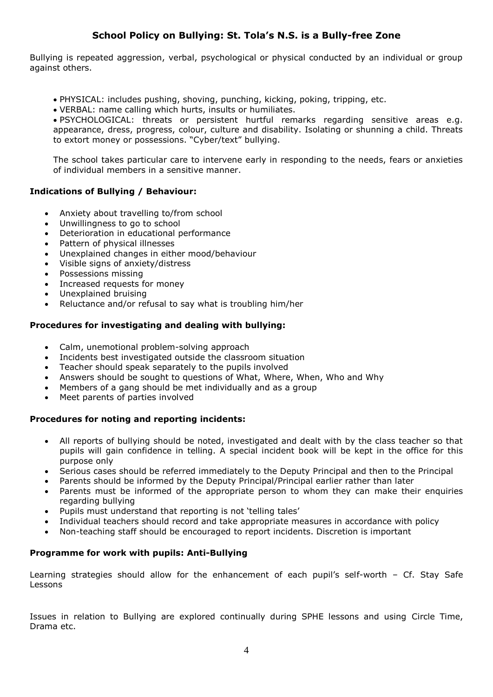# **School Policy on Bullying: St. Tola's N.S. is a Bully-free Zone**

Bullying is repeated aggression, verbal, psychological or physical conducted by an individual or group against others.

- PHYSICAL: includes pushing, shoving, punching, kicking, poking, tripping, etc.
- VERBAL: name calling which hurts, insults or humiliates.

 PSYCHOLOGICAL: threats or persistent hurtful remarks regarding sensitive areas e.g. appearance, dress, progress, colour, culture and disability. Isolating or shunning a child. Threats to extort money or possessions. "Cyber/text" bullying.

The school takes particular care to intervene early in responding to the needs, fears or anxieties of individual members in a sensitive manner.

## **Indications of Bullying / Behaviour:**

- Anxiety about travelling to/from school
- Unwillingness to go to school
- Deterioration in educational performance
- Pattern of physical illnesses
- Unexplained changes in either mood/behaviour
- Visible signs of anxiety/distress
- Possessions missing
- Increased requests for money
- Unexplained bruising
- Reluctance and/or refusal to say what is troubling him/her

## **Procedures for investigating and dealing with bullying:**

- Calm, unemotional problem-solving approach
- Incidents best investigated outside the classroom situation
- Teacher should speak separately to the pupils involved
- Answers should be sought to questions of What, Where, When, Who and Why
- Members of a gang should be met individually and as a group
- Meet parents of parties involved

#### **Procedures for noting and reporting incidents:**

- All reports of bullying should be noted, investigated and dealt with by the class teacher so that pupils will gain confidence in telling. A special incident book will be kept in the office for this purpose only
- Serious cases should be referred immediately to the Deputy Principal and then to the Principal
- Parents should be informed by the Deputy Principal/Principal earlier rather than later
- Parents must be informed of the appropriate person to whom they can make their enquiries regarding bullying
- Pupils must understand that reporting is not 'telling tales'
- Individual teachers should record and take appropriate measures in accordance with policy
- Non-teaching staff should be encouraged to report incidents. Discretion is important

#### **Programme for work with pupils: Anti-Bullying**

Learning strategies should allow for the enhancement of each pupil's self-worth - Cf. Stay Safe Lessons

Issues in relation to Bullying are explored continually during SPHE lessons and using Circle Time, Drama etc.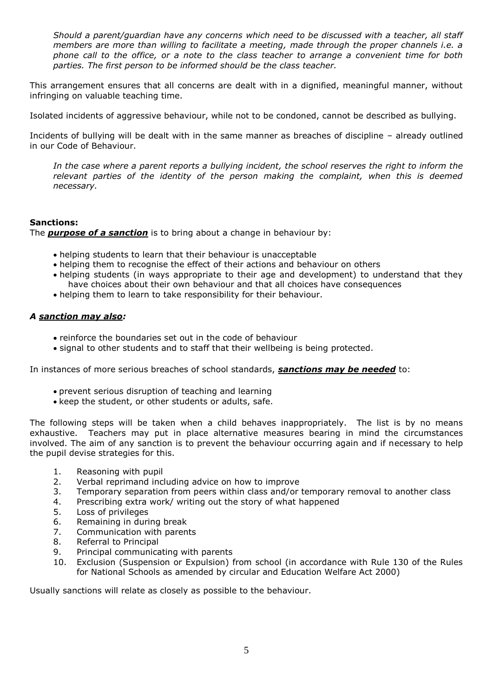*Should a parent/guardian have any concerns which need to be discussed with a teacher, all staff members are more than willing to facilitate a meeting, made through the proper channels i.e. a phone call to the office, or a note to the class teacher to arrange a convenient time for both parties. The first person to be informed should be the class teacher.* 

This arrangement ensures that all concerns are dealt with in a dignified, meaningful manner, without infringing on valuable teaching time.

Isolated incidents of aggressive behaviour, while not to be condoned, cannot be described as bullying.

Incidents of bullying will be dealt with in the same manner as breaches of discipline – already outlined in our Code of Behaviour.

*In the case where a parent reports a bullying incident, the school reserves the right to inform the relevant parties of the identity of the person making the complaint, when this is deemed necessary.* 

## **Sanctions:**

The *purpose of a sanction* is to bring about a change in behaviour by:

- helping students to learn that their behaviour is unacceptable
- helping them to recognise the effect of their actions and behaviour on others
- helping students (in ways appropriate to their age and development) to understand that they have choices about their own behaviour and that all choices have consequences
- helping them to learn to take responsibility for their behaviour.

## *A sanction may also:*

- reinforce the boundaries set out in the code of behaviour
- signal to other students and to staff that their wellbeing is being protected.

In instances of more serious breaches of school standards, *sanctions may be needed* to:

- prevent serious disruption of teaching and learning
- keep the student, or other students or adults, safe.

The following steps will be taken when a child behaves inappropriately. The list is by no means exhaustive. Teachers may put in place alternative measures bearing in mind the circumstances involved. The aim of any sanction is to prevent the behaviour occurring again and if necessary to help the pupil devise strategies for this.

- 1. Reasoning with pupil
- 2. Verbal reprimand including advice on how to improve
- 3. Temporary separation from peers within class and/or temporary removal to another class
- 4. Prescribing extra work/ writing out the story of what happened
- 5. Loss of privileges
- 6. Remaining in during break
- 7. Communication with parents
- 8. Referral to Principal
- 9. Principal communicating with parents
- 10. Exclusion (Suspension or Expulsion) from school (in accordance with Rule 130 of the Rules for National Schools as amended by circular and Education Welfare Act 2000)

Usually sanctions will relate as closely as possible to the behaviour.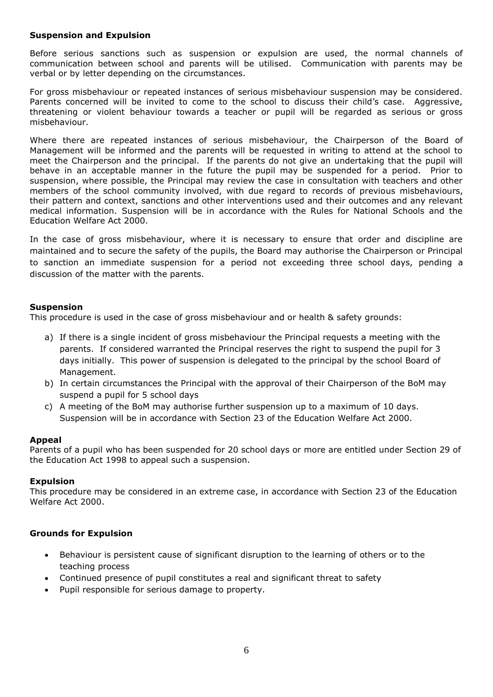#### **Suspension and Expulsion**

Before serious sanctions such as suspension or expulsion are used, the normal channels of communication between school and parents will be utilised. Communication with parents may be verbal or by letter depending on the circumstances.

For gross misbehaviour or repeated instances of serious misbehaviour suspension may be considered. Parents concerned will be invited to come to the school to discuss their child's case. Aggressive, threatening or violent behaviour towards a teacher or pupil will be regarded as serious or gross misbehaviour.

Where there are repeated instances of serious misbehaviour, the Chairperson of the Board of Management will be informed and the parents will be requested in writing to attend at the school to meet the Chairperson and the principal. If the parents do not give an undertaking that the pupil will behave in an acceptable manner in the future the pupil may be suspended for a period. Prior to suspension, where possible, the Principal may review the case in consultation with teachers and other members of the school community involved, with due regard to records of previous misbehaviours, their pattern and context, sanctions and other interventions used and their outcomes and any relevant medical information. Suspension will be in accordance with the Rules for National Schools and the Education Welfare Act 2000.

In the case of gross misbehaviour, where it is necessary to ensure that order and discipline are maintained and to secure the safety of the pupils, the Board may authorise the Chairperson or Principal to sanction an immediate suspension for a period not exceeding three school days, pending a discussion of the matter with the parents.

## **Suspension**

This procedure is used in the case of gross misbehaviour and or health & safety grounds:

- a) If there is a single incident of gross misbehaviour the Principal requests a meeting with the parents. If considered warranted the Principal reserves the right to suspend the pupil for 3 days initially. This power of suspension is delegated to the principal by the school Board of Management.
- b) In certain circumstances the Principal with the approval of their Chairperson of the BoM may suspend a pupil for 5 school days
- c) A meeting of the BoM may authorise further suspension up to a maximum of 10 days. Suspension will be in accordance with Section 23 of the Education Welfare Act 2000.

#### **Appeal**

Parents of a pupil who has been suspended for 20 school days or more are entitled under Section 29 of the Education Act 1998 to appeal such a suspension.

#### **Expulsion**

This procedure may be considered in an extreme case, in accordance with Section 23 of the Education Welfare Act 2000.

## **Grounds for Expulsion**

- Behaviour is persistent cause of significant disruption to the learning of others or to the teaching process
- Continued presence of pupil constitutes a real and significant threat to safety
- Pupil responsible for serious damage to property.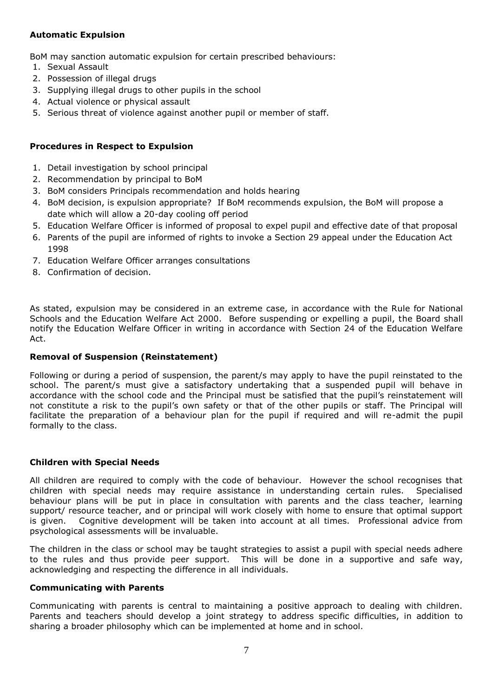## **Automatic Expulsion**

BoM may sanction automatic expulsion for certain prescribed behaviours:

- 1. Sexual Assault
- 2. Possession of illegal drugs
- 3. Supplying illegal drugs to other pupils in the school
- 4. Actual violence or physical assault
- 5. Serious threat of violence against another pupil or member of staff.

## **Procedures in Respect to Expulsion**

- 1. Detail investigation by school principal
- 2. Recommendation by principal to BoM
- 3. BoM considers Principals recommendation and holds hearing
- 4. BoM decision, is expulsion appropriate? If BoM recommends expulsion, the BoM will propose a date which will allow a 20-day cooling off period
- 5. Education Welfare Officer is informed of proposal to expel pupil and effective date of that proposal
- 6. Parents of the pupil are informed of rights to invoke a Section 29 appeal under the Education Act 1998
- 7. Education Welfare Officer arranges consultations
- 8. Confirmation of decision.

As stated, expulsion may be considered in an extreme case, in accordance with the Rule for National Schools and the Education Welfare Act 2000. Before suspending or expelling a pupil, the Board shall notify the Education Welfare Officer in writing in accordance with Section 24 of the Education Welfare Act.

## **Removal of Suspension (Reinstatement)**

Following or during a period of suspension, the parent/s may apply to have the pupil reinstated to the school. The parent/s must give a satisfactory undertaking that a suspended pupil will behave in accordance with the school code and the Principal must be satisfied that the pupil's reinstatement will not constitute a risk to the pupil's own safety or that of the other pupils or staff. The Principal will facilitate the preparation of a behaviour plan for the pupil if required and will re-admit the pupil formally to the class.

#### **Children with Special Needs**

All children are required to comply with the code of behaviour. However the school recognises that children with special needs may require assistance in understanding certain rules. Specialised behaviour plans will be put in place in consultation with parents and the class teacher, learning support/ resource teacher, and or principal will work closely with home to ensure that optimal support is given. Cognitive development will be taken into account at all times. Professional advice from psychological assessments will be invaluable.

The children in the class or school may be taught strategies to assist a pupil with special needs adhere to the rules and thus provide peer support. This will be done in a supportive and safe way, acknowledging and respecting the difference in all individuals.

#### **Communicating with Parents**

Communicating with parents is central to maintaining a positive approach to dealing with children. Parents and teachers should develop a joint strategy to address specific difficulties, in addition to sharing a broader philosophy which can be implemented at home and in school.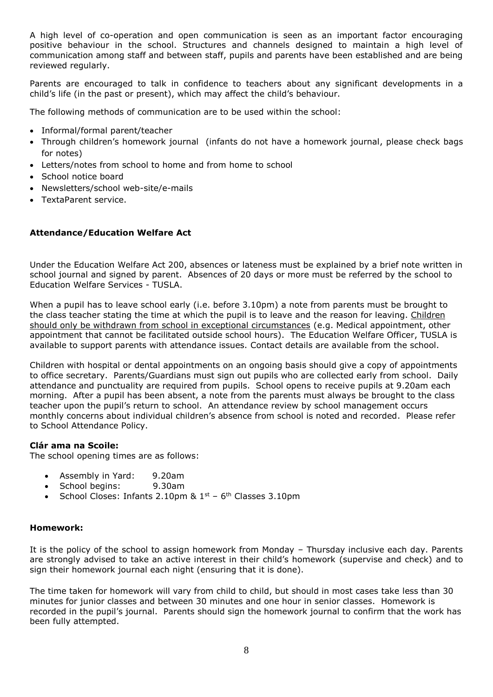A high level of co-operation and open communication is seen as an important factor encouraging positive behaviour in the school. Structures and channels designed to maintain a high level of communication among staff and between staff, pupils and parents have been established and are being reviewed regularly.

Parents are encouraged to talk in confidence to teachers about any significant developments in a child's life (in the past or present), which may affect the child's behaviour.

The following methods of communication are to be used within the school:

- Informal/formal parent/teacher
- Through children's homework journal (infants do not have a homework journal, please check bags for notes)
- Letters/notes from school to home and from home to school
- School notice board
- Newsletters/school web-site/e-mails
- TextaParent service.

## **Attendance/Education Welfare Act**

Under the Education Welfare Act 200, absences or lateness must be explained by a brief note written in school journal and signed by parent. Absences of 20 days or more must be referred by the school to Education Welfare Services - TUSLA.

When a pupil has to leave school early (i.e. before 3.10pm) a note from parents must be brought to the class teacher stating the time at which the pupil is to leave and the reason for leaving. Children should only be withdrawn from school in exceptional circumstances (e.g. Medical appointment, other appointment that cannot be facilitated outside school hours). The Education Welfare Officer, TUSLA is available to support parents with attendance issues. Contact details are available from the school.

Children with hospital or dental appointments on an ongoing basis should give a copy of appointments to office secretary. Parents/Guardians must sign out pupils who are collected early from school. Daily attendance and punctuality are required from pupils. School opens to receive pupils at 9.20am each morning. After a pupil has been absent, a note from the parents must always be brought to the class teacher upon the pupil's return to school. An attendance review by school management occurs monthly concerns about individual children's absence from school is noted and recorded. Please refer to School Attendance Policy.

#### **Clár ama na Scoile:**

The school opening times are as follows:

- Assembly in Yard: 9.20am
- School begins: 9.30am
- School Closes: Infants 2.10pm &  $1<sup>st</sup>$  6<sup>th</sup> Classes 3.10pm

#### **Homework:**

It is the policy of the school to assign homework from Monday – Thursday inclusive each day. Parents are strongly advised to take an active interest in their child's homework (supervise and check) and to sign their homework journal each night (ensuring that it is done).

The time taken for homework will vary from child to child, but should in most cases take less than 30 minutes for junior classes and between 30 minutes and one hour in senior classes. Homework is recorded in the pupil's journal. Parents should sign the homework journal to confirm that the work has been fully attempted.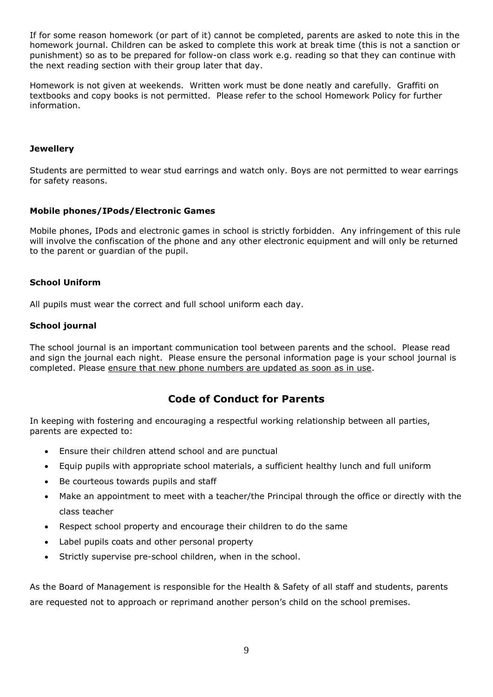If for some reason homework (or part of it) cannot be completed, parents are asked to note this in the homework journal. Children can be asked to complete this work at break time (this is not a sanction or punishment) so as to be prepared for follow-on class work e.g. reading so that they can continue with the next reading section with their group later that day.

Homework is not given at weekends. Written work must be done neatly and carefully. Graffiti on textbooks and copy books is not permitted. Please refer to the school Homework Policy for further information.

## **Jewellery**

Students are permitted to wear stud earrings and watch only. Boys are not permitted to wear earrings for safety reasons.

## **Mobile phones/IPods/Electronic Games**

Mobile phones, IPods and electronic games in school is strictly forbidden. Any infringement of this rule will involve the confiscation of the phone and any other electronic equipment and will only be returned to the parent or guardian of the pupil.

## **School Uniform**

All pupils must wear the correct and full school uniform each day.

## **School journal**

The school journal is an important communication tool between parents and the school. Please read and sign the journal each night. Please ensure the personal information page is your school journal is completed. Please ensure that new phone numbers are updated as soon as in use.

# **Code of Conduct for Parents**

In keeping with fostering and encouraging a respectful working relationship between all parties, parents are expected to:

- Ensure their children attend school and are punctual
- Equip pupils with appropriate school materials, a sufficient healthy lunch and full uniform
- Be courteous towards pupils and staff
- Make an appointment to meet with a teacher/the Principal through the office or directly with the class teacher
- Respect school property and encourage their children to do the same
- Label pupils coats and other personal property
- Strictly supervise pre-school children, when in the school.

As the Board of Management is responsible for the Health & Safety of all staff and students, parents are requested not to approach or reprimand another person's child on the school premises.